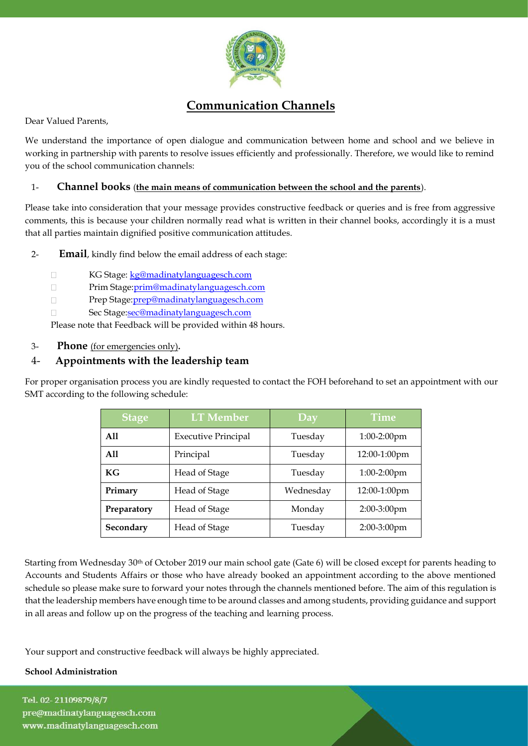

# **Communication Channels**

Dear Valued Parents,

We understand the importance of open dialogue and communication between home and school and we believe in working in partnership with parents to resolve issues efficiently and professionally. Therefore, we would like to remind you of the school communication channels:

### 1- **Channel books** (**the main means of communication between the school and the parents**).

Please take into consideration that your message provides constructive feedback or queries and is free from aggressive comments, this is because your children normally read what is written in their channel books, accordingly it is a must that all parties maintain dignified positive communication attitudes.

2- **Email**, kindly find below the email address of each stage:

- $\Box$ KG Stage: kg@madinatylanguagesch.com
- $\Box$ Prim Stage[:prim@madinatylanguagesch.com](mailto:prim@madinatylanguagesch.com)
- $\Box$ Prep Stage[:prep@madinatylanguagesch.com](mailto:prep@madinatylanguagesch.com)
- Sec Stag[e:sec@madinatylanguagesch.com](mailto:sec@madinatylanguagesch.com)  $\Box$

Please note that Feedback will be provided within 48 hours.

### 3- **Phone** (for emergencies only)**.**

## 4- **Appointments with the leadership team**

For proper organisation process you are kindly requested to contact the FOH beforehand to set an appointment with our SMT according to the following schedule:

| <b>Stage</b> | <b>LT</b> Member           | Day       | <b>Time</b>    |
|--------------|----------------------------|-----------|----------------|
| A11          | <b>Executive Principal</b> | Tuesday   | $1:00-2:00$ pm |
| A11          | Principal                  | Tuesday   | 12:00-1:00pm   |
| KG           | Head of Stage              | Tuesday   | $1:00-2:00$ pm |
| Primary      | Head of Stage              | Wednesday | 12:00-1:00pm   |
| Preparatory  | Head of Stage              | Monday    | 2:00-3:00pm    |
| Secondary    | Head of Stage              | Tuesday   | 2:00-3:00pm    |

Starting from Wednesday 30th of October 2019 our main school gate (Gate 6) will be closed except for parents heading to Accounts and Students Affairs or those who have already booked an appointment according to the above mentioned schedule so please make sure to forward your notes through the channels mentioned before. The aim of this regulation is that the leadership members have enough time to be around classes and among students, providing guidance and support in all areas and follow up on the progress of the teaching and learning process.

Your support and constructive feedback will always be highly appreciated.

#### **School Administration**

Tel. 02-21109879/8/7 pre@madinatylanguagesch.com www.madinatylanguagesch.com